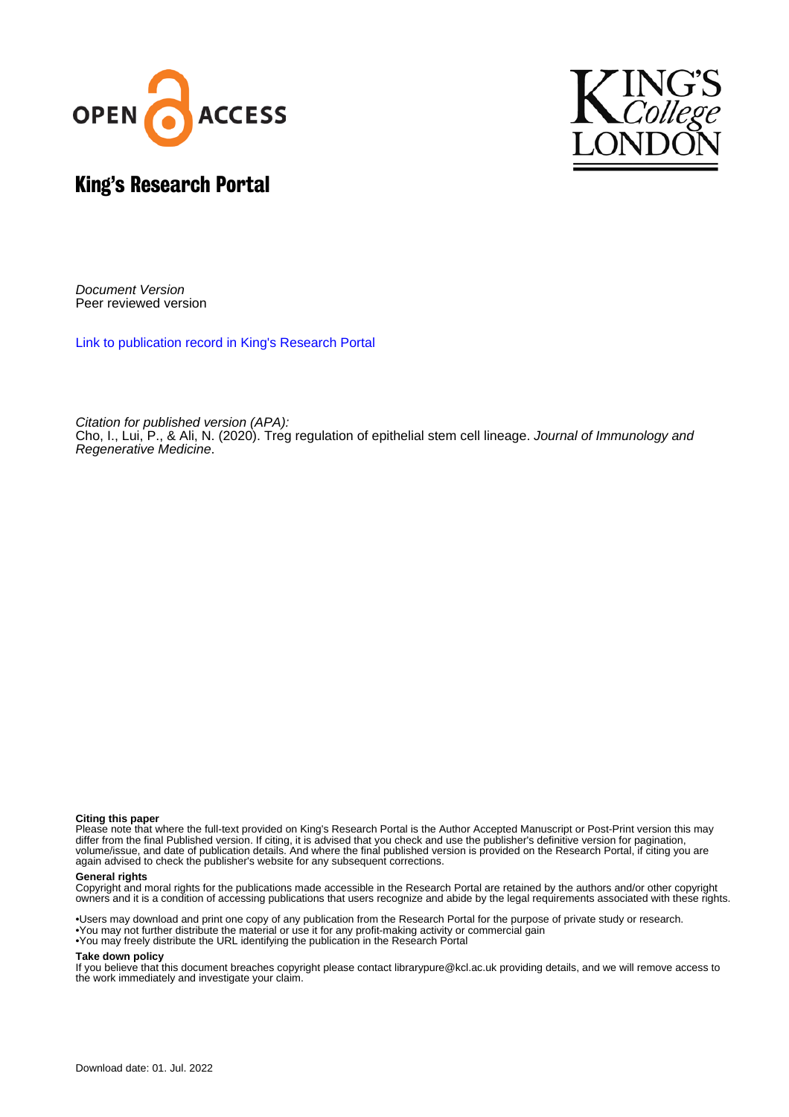



# King's Research Portal

Document Version Peer reviewed version

[Link to publication record in King's Research Portal](https://kclpure.kcl.ac.uk/portal/en/publications/treg-regulation-of-epithelial-stem-cell-lineage(e6d5645d-715b-47a3-a87a-cd52e59da315).html)

Citation for published version (APA): [Cho, I.](https://kclpure.kcl.ac.uk/portal/en/persons/inchul-cho(abee75b0-4d10-4154-a3c0-ad914358575b).html)[, Lui, P.](https://kclpure.kcl.ac.uk/portal/en/persons/prudence-lui(792e2a93-1274-42ee-90c8-e28d1f48fcd2).html)[, & Ali, N.](/portal/niwa.ali.html) (2020). [Treg regulation of epithelial stem cell lineage](https://kclpure.kcl.ac.uk/portal/en/publications/treg-regulation-of-epithelial-stem-cell-lineage(e6d5645d-715b-47a3-a87a-cd52e59da315).html). [Journal of Immunology and](https://kclpure.kcl.ac.uk/portal/en/journals/journal-of-immunology-and-regenerative-medicine(0669f2e2-3169-430f-a1c5-2d335c847bfb).html) [Regenerative Medicine](https://kclpure.kcl.ac.uk/portal/en/journals/journal-of-immunology-and-regenerative-medicine(0669f2e2-3169-430f-a1c5-2d335c847bfb).html).

#### **Citing this paper**

Please note that where the full-text provided on King's Research Portal is the Author Accepted Manuscript or Post-Print version this may differ from the final Published version. If citing, it is advised that you check and use the publisher's definitive version for pagination, volume/issue, and date of publication details. And where the final published version is provided on the Research Portal, if citing you are again advised to check the publisher's website for any subsequent corrections.

#### **General rights**

Copyright and moral rights for the publications made accessible in the Research Portal are retained by the authors and/or other copyright owners and it is a condition of accessing publications that users recognize and abide by the legal requirements associated with these rights.

•Users may download and print one copy of any publication from the Research Portal for the purpose of private study or research. •You may not further distribute the material or use it for any profit-making activity or commercial gain •You may freely distribute the URL identifying the publication in the Research Portal

#### **Take down policy**

If you believe that this document breaches copyright please contact librarypure@kcl.ac.uk providing details, and we will remove access to the work immediately and investigate your claim.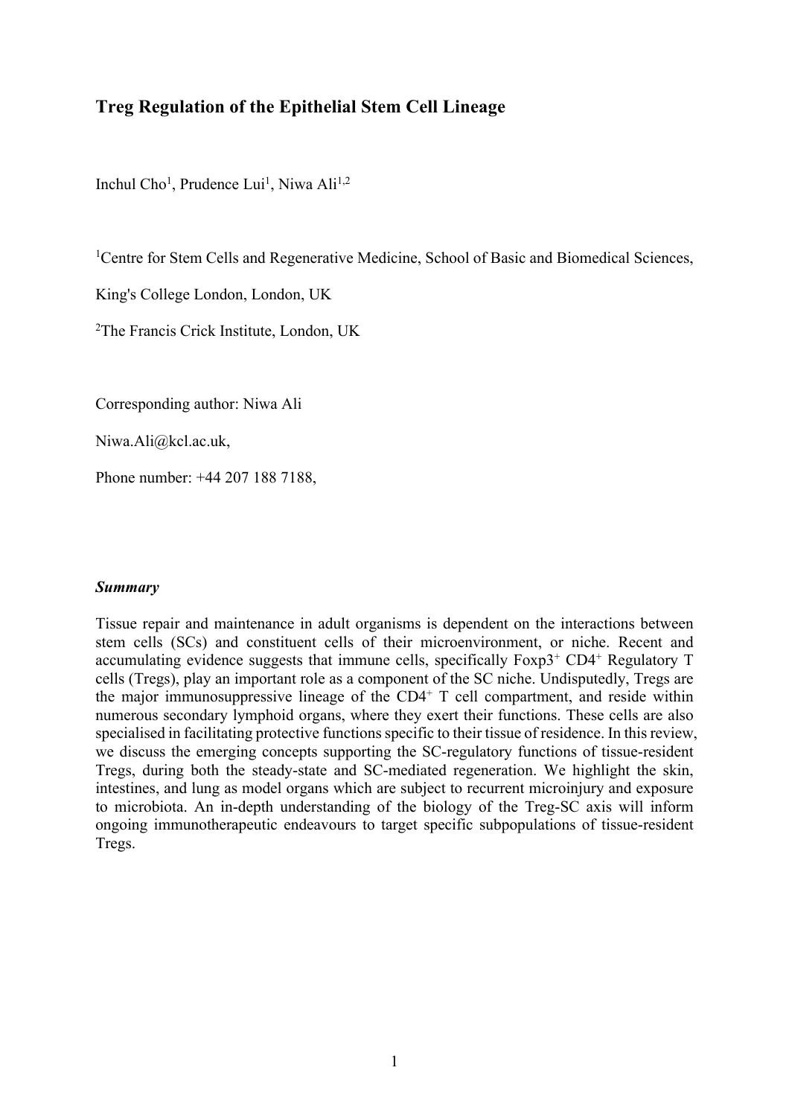# **Treg Regulation of the Epithelial Stem Cell Lineage**

Inchul Cho<sup>1</sup>, Prudence Lui<sup>1</sup>, Niwa Ali<sup>1,2</sup>

<sup>1</sup>Centre for Stem Cells and Regenerative Medicine, School of Basic and Biomedical Sciences,

King's College London, London, UK

2 The Francis Crick Institute, London, UK

Corresponding author: Niwa Ali

Niwa.Ali@kcl.ac.uk,

Phone number: +44 207 188 7188,

#### *Summary*

Tissue repair and maintenance in adult organisms is dependent on the interactions between stem cells (SCs) and constituent cells of their microenvironment, or niche. Recent and accumulating evidence suggests that immune cells, specifically  $F\alpha p3^+$  CD4<sup>+</sup> Regulatory T cells (Tregs), play an important role as a component of the SC niche. Undisputedly, Tregs are the major immunosuppressive lineage of the  $CD4<sup>+</sup>$  T cell compartment, and reside within numerous secondary lymphoid organs, where they exert their functions. These cells are also specialised in facilitating protective functions specific to their tissue of residence. In this review, we discuss the emerging concepts supporting the SC-regulatory functions of tissue-resident Tregs, during both the steady-state and SC-mediated regeneration. We highlight the skin, intestines, and lung as model organs which are subject to recurrent microinjury and exposure to microbiota. An in-depth understanding of the biology of the Treg-SC axis will inform ongoing immunotherapeutic endeavours to target specific subpopulations of tissue-resident Tregs.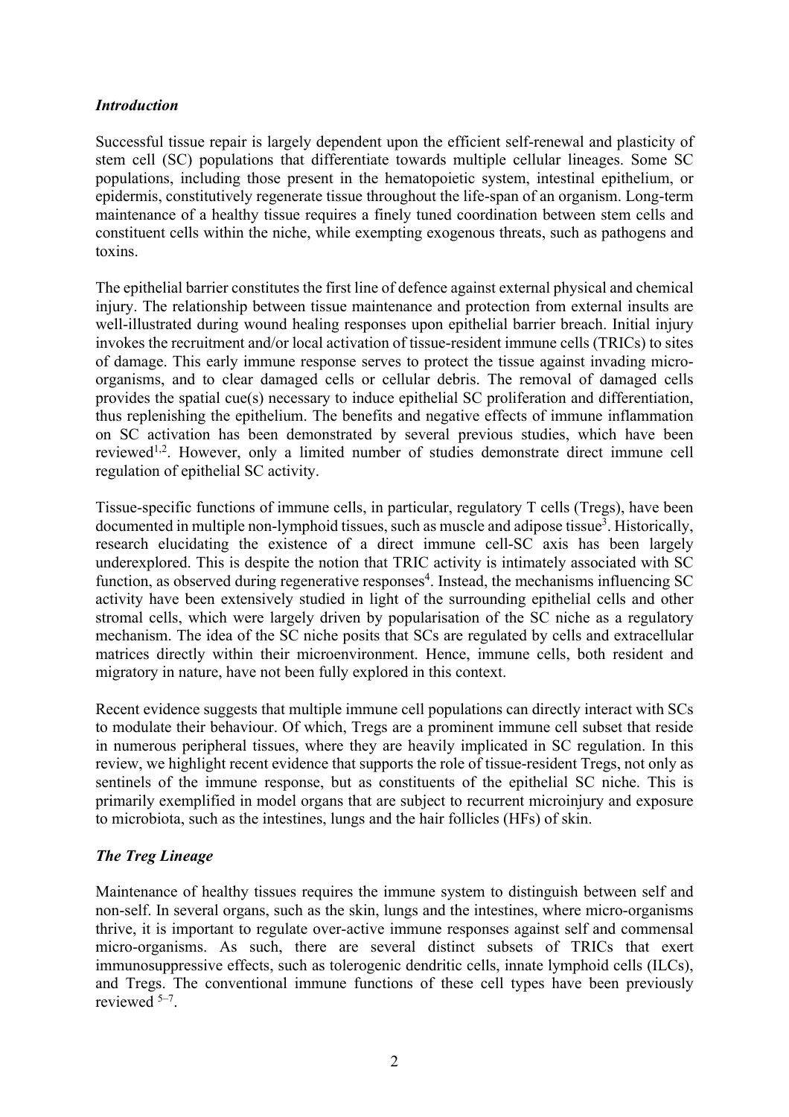### *Introduction*

Successful tissue repair is largely dependent upon the efficient self-renewal and plasticity of stem cell (SC) populations that differentiate towards multiple cellular lineages. Some SC populations, including those present in the hematopoietic system, intestinal epithelium, or epidermis, constitutively regenerate tissue throughout the life-span of an organism. Long-term maintenance of a healthy tissue requires a finely tuned coordination between stem cells and constituent cells within the niche, while exempting exogenous threats, such as pathogens and toxins.

The epithelial barrier constitutes the first line of defence against external physical and chemical injury. The relationship between tissue maintenance and protection from external insults are well-illustrated during wound healing responses upon epithelial barrier breach. Initial injury invokes the recruitment and/or local activation of tissue-resident immune cells (TRICs) to sites of damage. This early immune response serves to protect the tissue against invading microorganisms, and to clear damaged cells or cellular debris. The removal of damaged cells provides the spatial cue(s) necessary to induce epithelial SC proliferation and differentiation, thus replenishing the epithelium. The benefits and negative effects of immune inflammation on SC activation has been demonstrated by several previous studies, which have been reviewed1,2. However, only a limited number of studies demonstrate direct immune cell regulation of epithelial SC activity.

Tissue-specific functions of immune cells, in particular, regulatory T cells (Tregs), have been documented in multiple non-lymphoid tissues, such as muscle and adipose tissue<sup>3</sup>. Historically, research elucidating the existence of a direct immune cell-SC axis has been largely underexplored. This is despite the notion that TRIC activity is intimately associated with SC function, as observed during regenerative responses<sup>4</sup>. Instead, the mechanisms influencing SC activity have been extensively studied in light of the surrounding epithelial cells and other stromal cells, which were largely driven by popularisation of the SC niche as a regulatory mechanism. The idea of the SC niche posits that SCs are regulated by cells and extracellular matrices directly within their microenvironment. Hence, immune cells, both resident and migratory in nature, have not been fully explored in this context.

Recent evidence suggests that multiple immune cell populations can directly interact with SCs to modulate their behaviour. Of which, Tregs are a prominent immune cell subset that reside in numerous peripheral tissues, where they are heavily implicated in SC regulation. In this review, we highlight recent evidence that supports the role of tissue-resident Tregs, not only as sentinels of the immune response, but as constituents of the epithelial SC niche. This is primarily exemplified in model organs that are subject to recurrent microinjury and exposure to microbiota, such as the intestines, lungs and the hair follicles (HFs) of skin.

## *The Treg Lineage*

Maintenance of healthy tissues requires the immune system to distinguish between self and non-self. In several organs, such as the skin, lungs and the intestines, where micro-organisms thrive, it is important to regulate over-active immune responses against self and commensal micro-organisms. As such, there are several distinct subsets of TRICs that exert immunosuppressive effects, such as tolerogenic dendritic cells, innate lymphoid cells (ILCs), and Tregs. The conventional immune functions of these cell types have been previously reviewed 5–7 .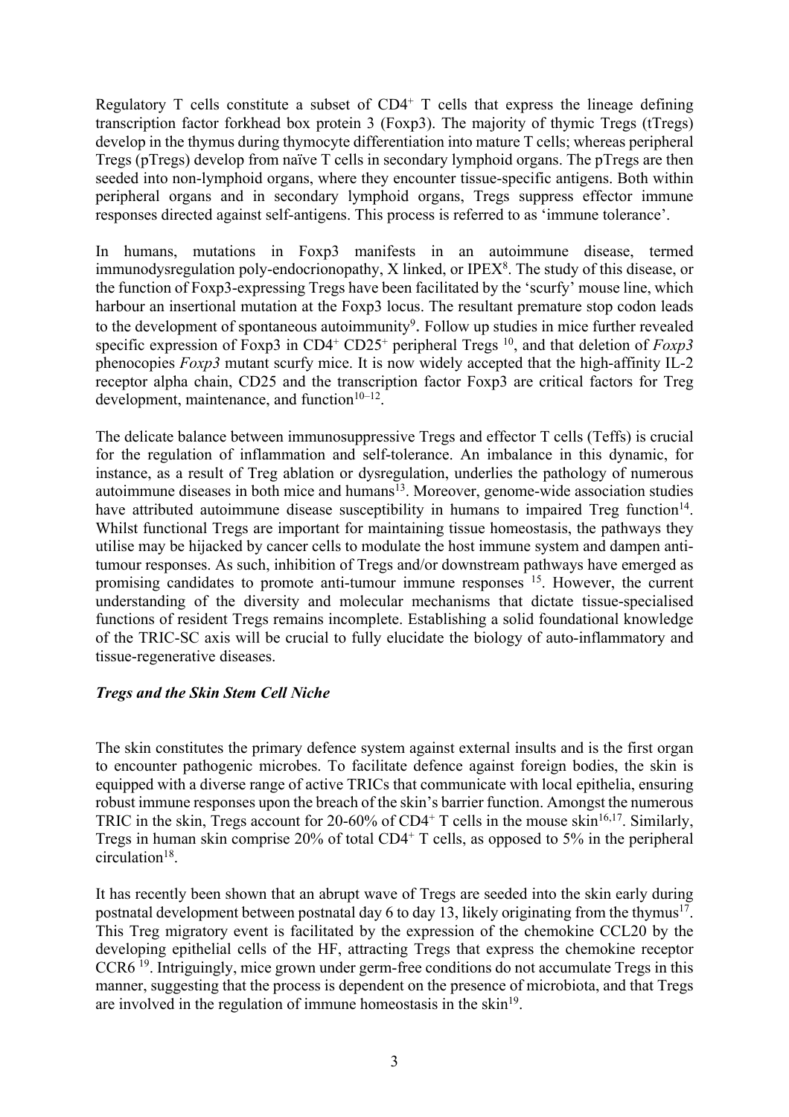Regulatory T cells constitute a subset of  $CD4^+$  T cells that express the lineage defining transcription factor forkhead box protein 3 (Foxp3). The majority of thymic Tregs (tTregs) develop in the thymus during thymocyte differentiation into mature T cells; whereas peripheral Tregs (pTregs) develop from naïve T cells in secondary lymphoid organs. The pTregs are then seeded into non-lymphoid organs, where they encounter tissue-specific antigens. Both within peripheral organs and in secondary lymphoid organs, Tregs suppress effector immune responses directed against self-antigens. This process is referred to as 'immune tolerance'.

In humans, mutations in Foxp3 manifests in an autoimmune disease, termed immunodysregulation poly-endocrionopathy,  $X$  linked, or IPE $X^8$ . The study of this disease, or the function of Foxp3-expressing Tregs have been facilitated by the 'scurfy' mouse line, which harbour an insertional mutation at the Foxp3 locus. The resultant premature stop codon leads to the development of spontaneous autoimmunity<sup>9</sup>. Follow up studies in mice further revealed specific expression of Foxp3 in CD4<sup>+</sup> CD25<sup>+</sup> peripheral Tregs <sup>10</sup>, and that deletion of *Foxp3* phenocopies *Foxp3* mutant scurfy mice. It is now widely accepted that the high-affinity IL-2 receptor alpha chain, CD25 and the transcription factor Foxp3 are critical factors for Treg development, maintenance, and function $10-12$ .

The delicate balance between immunosuppressive Tregs and effector T cells (Teffs) is crucial for the regulation of inflammation and self-tolerance. An imbalance in this dynamic, for instance, as a result of Treg ablation or dysregulation, underlies the pathology of numerous autoimmune diseases in both mice and humans $13$ . Moreover, genome-wide association studies have attributed autoimmune disease susceptibility in humans to impaired Treg function<sup>14</sup>. Whilst functional Tregs are important for maintaining tissue homeostasis, the pathways they utilise may be hijacked by cancer cells to modulate the host immune system and dampen antitumour responses. As such, inhibition of Tregs and/or downstream pathways have emerged as promising candidates to promote anti-tumour immune responses 15. However, the current understanding of the diversity and molecular mechanisms that dictate tissue-specialised functions of resident Tregs remains incomplete. Establishing a solid foundational knowledge of the TRIC-SC axis will be crucial to fully elucidate the biology of auto-inflammatory and tissue-regenerative diseases.

#### *Tregs and the Skin Stem Cell Niche*

The skin constitutes the primary defence system against external insults and is the first organ to encounter pathogenic microbes. To facilitate defence against foreign bodies, the skin is equipped with a diverse range of active TRICs that communicate with local epithelia, ensuring robust immune responses upon the breach of the skin's barrier function. Amongst the numerous TRIC in the skin, Tregs account for 20-60% of  $CD4^+$  T cells in the mouse skin<sup>16,17</sup>. Similarly, Tregs in human skin comprise 20% of total CD4<sup>+</sup> T cells, as opposed to 5% in the peripheral  $circulation<sup>18</sup>$ .

It has recently been shown that an abrupt wave of Tregs are seeded into the skin early during postnatal development between postnatal day 6 to day 13, likely originating from the thymus<sup>17</sup>. This Treg migratory event is facilitated by the expression of the chemokine CCL20 by the developing epithelial cells of the HF, attracting Tregs that express the chemokine receptor CCR6 19. Intriguingly, mice grown under germ-free conditions do not accumulate Tregs in this manner, suggesting that the process is dependent on the presence of microbiota, and that Tregs are involved in the regulation of immune homeostasis in the skin19.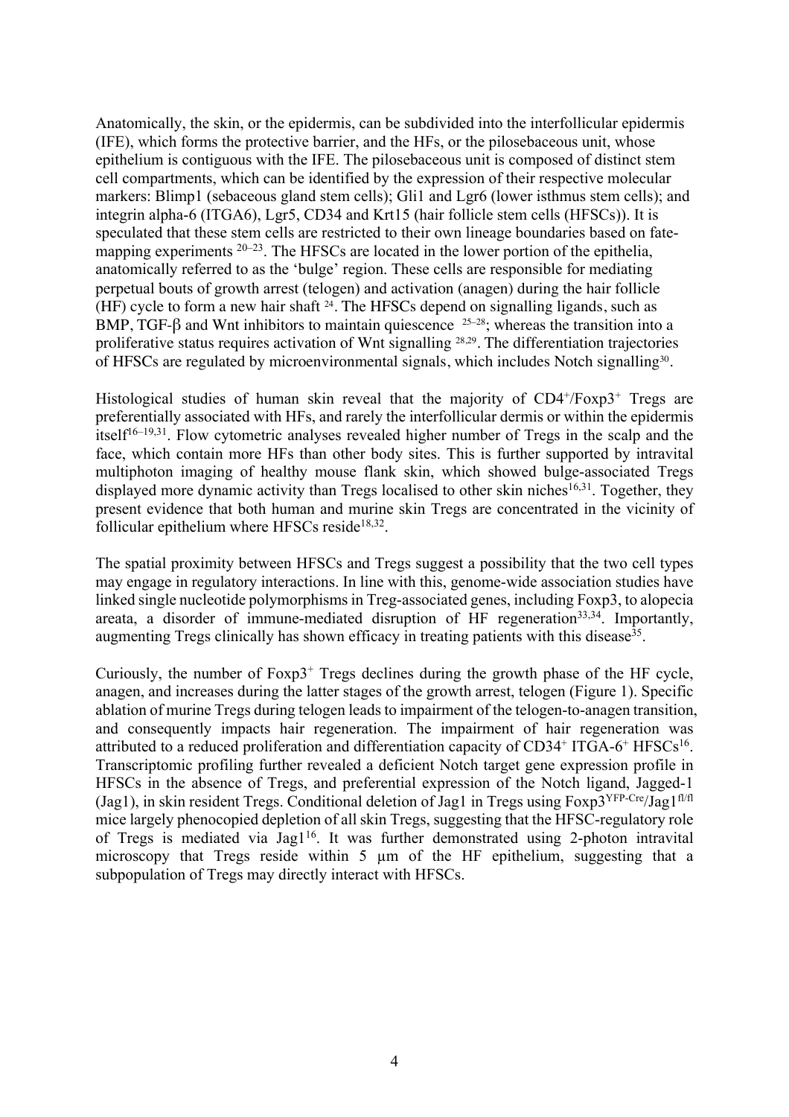Anatomically, the skin, or the epidermis, can be subdivided into the interfollicular epidermis (IFE), which forms the protective barrier, and the HFs, or the pilosebaceous unit, whose epithelium is contiguous with the IFE. The pilosebaceous unit is composed of distinct stem cell compartments, which can be identified by the expression of their respective molecular markers: Blimp1 (sebaceous gland stem cells); Gli1 and Lgr6 (lower isthmus stem cells); and integrin alpha-6 (ITGA6), Lgr5, CD34 and Krt15 (hair follicle stem cells (HFSCs)). It is speculated that these stem cells are restricted to their own lineage boundaries based on fatemapping experiments  $20-23$ . The HFSCs are located in the lower portion of the epithelia, anatomically referred to as the 'bulge' region. These cells are responsible for mediating perpetual bouts of growth arrest (telogen) and activation (anagen) during the hair follicle (HF) cycle to form a new hair shaft  $24$ . The HFSCs depend on signalling ligands, such as BMP, TGF- $\beta$  and Wnt inhibitors to maintain quiescence <sup>25-28</sup>; whereas the transition into a proliferative status requires activation of Wnt signalling 28,29. The differentiation trajectories of HFSCs are regulated by microenvironmental signals, which includes Notch signalling<sup>30</sup>.

Histological studies of human skin reveal that the majority of CD4+/Foxp3+ Tregs are preferentially associated with HFs, and rarely the interfollicular dermis or within the epidermis itsel $f^{16-19,31}$ . Flow cytometric analyses revealed higher number of Tregs in the scalp and the face, which contain more HFs than other body sites. This is further supported by intravital multiphoton imaging of healthy mouse flank skin, which showed bulge-associated Tregs displayed more dynamic activity than Tregs localised to other skin niches<sup>16,31</sup>. Together, they present evidence that both human and murine skin Tregs are concentrated in the vicinity of follicular epithelium where HFSCs reside $18,32$ .

The spatial proximity between HFSCs and Tregs suggest a possibility that the two cell types may engage in regulatory interactions. In line with this, genome-wide association studies have linked single nucleotide polymorphisms in Treg-associated genes, including Foxp3, to alopecia areata, a disorder of immune-mediated disruption of  $HF$  regeneration<sup>33,34</sup>. Importantly, augmenting Tregs clinically has shown efficacy in treating patients with this disease<sup>35</sup>.

Curiously, the number of  $F\alpha p3$ <sup>+</sup> Tregs declines during the growth phase of the HF cycle, anagen, and increases during the latter stages of the growth arrest, telogen (Figure 1). Specific ablation of murine Tregs during telogen leads to impairment of the telogen-to-anagen transition, and consequently impacts hair regeneration. The impairment of hair regeneration was attributed to a reduced proliferation and differentiation capacity of CD34<sup>+</sup> ITGA-6<sup>+</sup> HFSCs<sup>16</sup>. Transcriptomic profiling further revealed a deficient Notch target gene expression profile in HFSCs in the absence of Tregs, and preferential expression of the Notch ligand, Jagged-1 (Jag1), in skin resident Tregs. Conditional deletion of Jag1 in Tregs using  $Foxp3<sup>YFP-Cre</sup>/Jag1<sup>f1/f1</sup>$ mice largely phenocopied depletion of all skin Tregs, suggesting that the HFSC-regulatory role of Tregs is mediated via Jag116. It was further demonstrated using 2-photon intravital microscopy that Tregs reside within 5  $\mu$ m of the HF epithelium, suggesting that a subpopulation of Tregs may directly interact with HFSCs.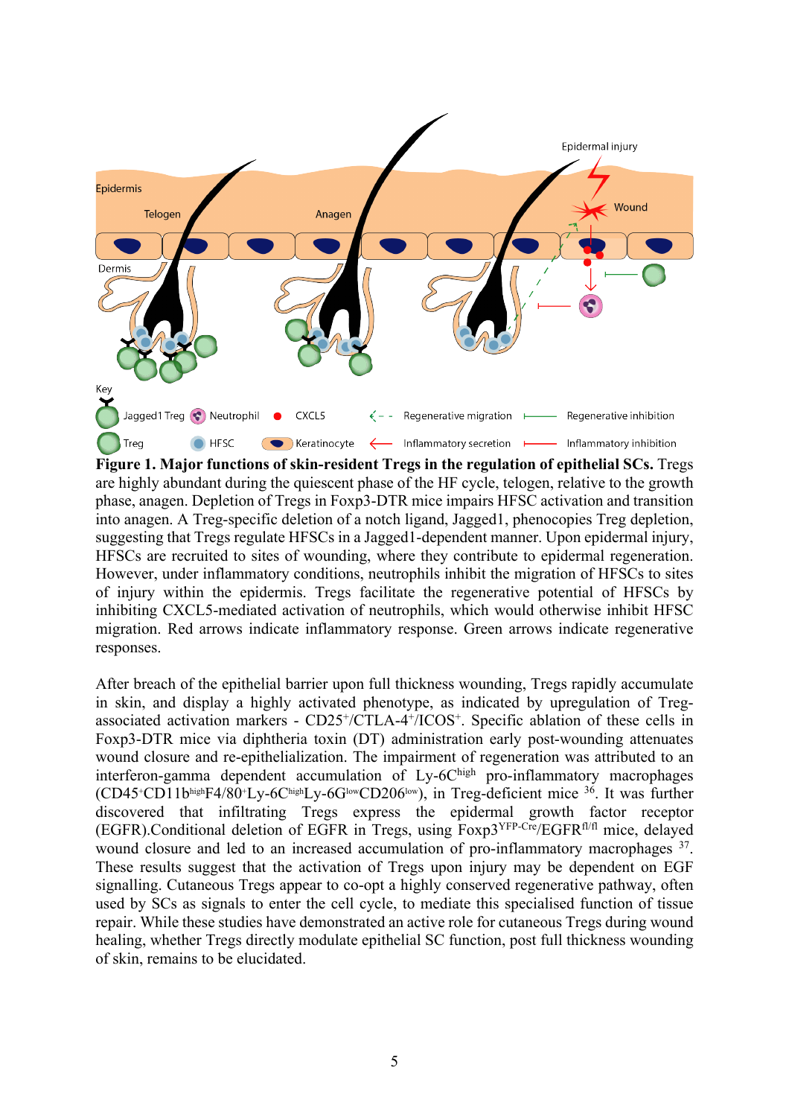

**Figure 1. Major functions of skin-resident Tregs in the regulation of epithelial SCs.** Tregs are highly abundant during the quiescent phase of the HF cycle, telogen, relative to the growth phase, anagen. Depletion of Tregs in Foxp3-DTR mice impairs HFSC activation and transition into anagen. A Treg-specific deletion of a notch ligand, Jagged1, phenocopies Treg depletion, suggesting that Tregs regulate HFSCs in a Jagged1-dependent manner. Upon epidermal injury, HFSCs are recruited to sites of wounding, where they contribute to epidermal regeneration. However, under inflammatory conditions, neutrophils inhibit the migration of HFSCs to sites of injury within the epidermis. Tregs facilitate the regenerative potential of HFSCs by inhibiting CXCL5-mediated activation of neutrophils, which would otherwise inhibit HFSC migration. Red arrows indicate inflammatory response. Green arrows indicate regenerative responses.

After breach of the epithelial barrier upon full thickness wounding, Tregs rapidly accumulate in skin, and display a highly activated phenotype, as indicated by upregulation of Tregassociated activation markers - CD25+/CTLA-4+/ICOS+. Specific ablation of these cells in Foxp3-DTR mice via diphtheria toxin (DT) administration early post-wounding attenuates wound closure and re-epithelialization. The impairment of regeneration was attributed to an interferon-gamma dependent accumulation of Ly-6Chigh pro-inflammatory macrophages  $(CD45+CD11b^{\text{high}}F4/80^{\text{+}}Ly-6C^{\text{high}}Ly-6G^{\text{low}}CD206^{\text{low}})$ , in Treg-deficient mice <sup>36</sup>. It was further discovered that infiltrating Tregs express the epidermal growth factor receptor (EGFR).Conditional deletion of EGFR in Tregs, using Foxp3YFP-Cre/EGFRfl/fl mice, delayed wound closure and led to an increased accumulation of pro-inflammatory macrophages <sup>37</sup>. These results suggest that the activation of Tregs upon injury may be dependent on EGF signalling. Cutaneous Tregs appear to co-opt a highly conserved regenerative pathway, often used by SCs as signals to enter the cell cycle, to mediate this specialised function of tissue repair. While these studies have demonstrated an active role for cutaneous Tregs during wound healing, whether Tregs directly modulate epithelial SC function, post full thickness wounding of skin, remains to be elucidated.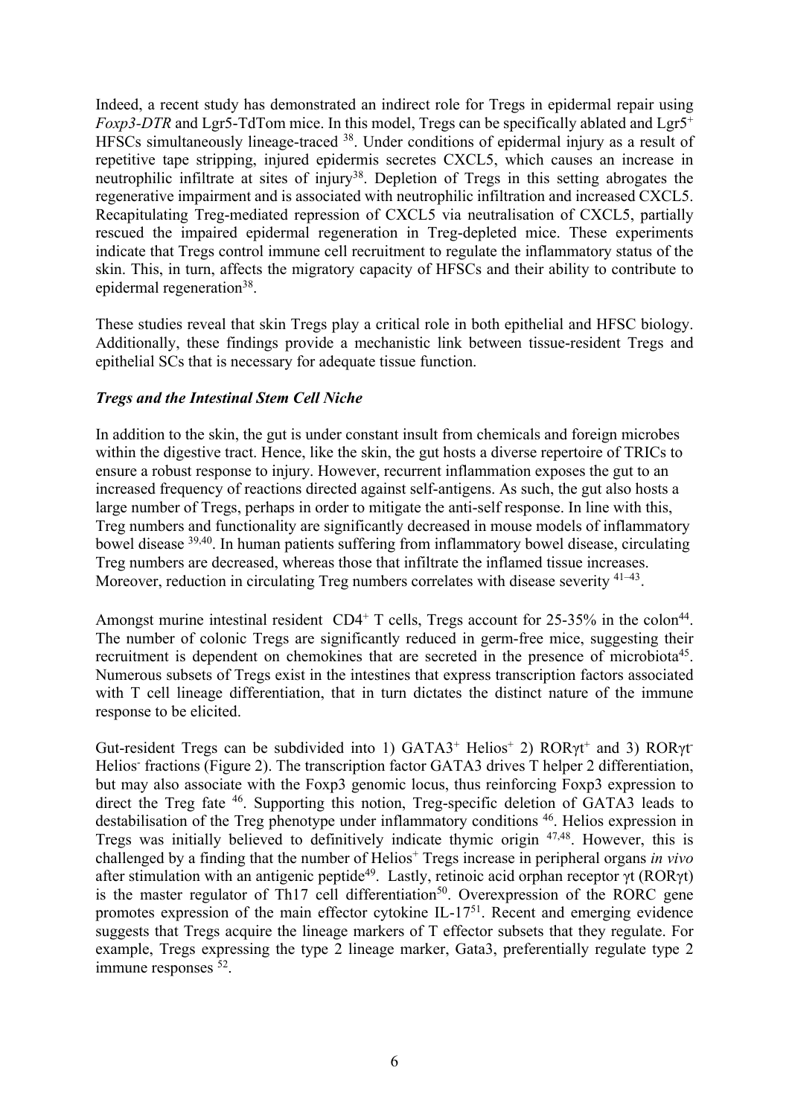Indeed, a recent study has demonstrated an indirect role for Tregs in epidermal repair using *Foxp3-DTR* and Lgr5-TdTom mice. In this model, Tregs can be specifically ablated and Lgr5<sup>+</sup> HFSCs simultaneously lineage-traced <sup>38</sup>. Under conditions of epidermal injury as a result of repetitive tape stripping, injured epidermis secretes CXCL5, which causes an increase in neutrophilic infiltrate at sites of injury<sup>38</sup>. Depletion of Tregs in this setting abrogates the regenerative impairment and is associated with neutrophilic infiltration and increased CXCL5. Recapitulating Treg-mediated repression of CXCL5 via neutralisation of CXCL5, partially rescued the impaired epidermal regeneration in Treg-depleted mice. These experiments indicate that Tregs control immune cell recruitment to regulate the inflammatory status of the skin. This, in turn, affects the migratory capacity of HFSCs and their ability to contribute to epidermal regeneration<sup>38</sup>.

These studies reveal that skin Tregs play a critical role in both epithelial and HFSC biology. Additionally, these findings provide a mechanistic link between tissue-resident Tregs and epithelial SCs that is necessary for adequate tissue function.

### *Tregs and the Intestinal Stem Cell Niche*

In addition to the skin, the gut is under constant insult from chemicals and foreign microbes within the digestive tract. Hence, like the skin, the gut hosts a diverse repertoire of TRICs to ensure a robust response to injury. However, recurrent inflammation exposes the gut to an increased frequency of reactions directed against self-antigens. As such, the gut also hosts a large number of Tregs, perhaps in order to mitigate the anti-self response. In line with this, Treg numbers and functionality are significantly decreased in mouse models of inflammatory bowel disease 39,40. In human patients suffering from inflammatory bowel disease, circulating Treg numbers are decreased, whereas those that infiltrate the inflamed tissue increases. Moreover, reduction in circulating Treg numbers correlates with disease severity <sup>41–43</sup>.

Amongst murine intestinal resident  $CD4^+$  T cells. Tregs account for 25-35% in the colon<sup>44</sup>. The number of colonic Tregs are significantly reduced in germ-free mice, suggesting their recruitment is dependent on chemokines that are secreted in the presence of microbiota<sup>45</sup>. Numerous subsets of Tregs exist in the intestines that express transcription factors associated with T cell lineage differentiation, that in turn dictates the distinct nature of the immune response to be elicited.

Gut-resident Tregs can be subdivided into 1)  $GATA3^+$  Helios<sup>+</sup> 2)  $RORvt^+$  and 3)  $RORvt^-$ Helios- fractions (Figure 2). The transcription factor GATA3 drives T helper 2 differentiation, but may also associate with the Foxp3 genomic locus, thus reinforcing Foxp3 expression to direct the Treg fate 46. Supporting this notion, Treg-specific deletion of GATA3 leads to destabilisation of the Treg phenotype under inflammatory conditions <sup>46</sup>. Helios expression in Tregs was initially believed to definitively indicate thymic origin 47,48. However, this is challenged by a finding that the number of Helios<sup>+</sup> Tregs increase in peripheral organs *in vivo* after stimulation with an antigenic peptide<sup>49</sup>. Lastly, retinoic acid orphan receptor  $\gamma t$  (ROR $\gamma t$ ) is the master regulator of Th17 cell differentiation<sup>50</sup>. Overexpression of the RORC gene promotes expression of the main effector cytokine IL-17<sup>51</sup>. Recent and emerging evidence suggests that Tregs acquire the lineage markers of T effector subsets that they regulate. For example, Tregs expressing the type 2 lineage marker, Gata3, preferentially regulate type 2 immune responses 52.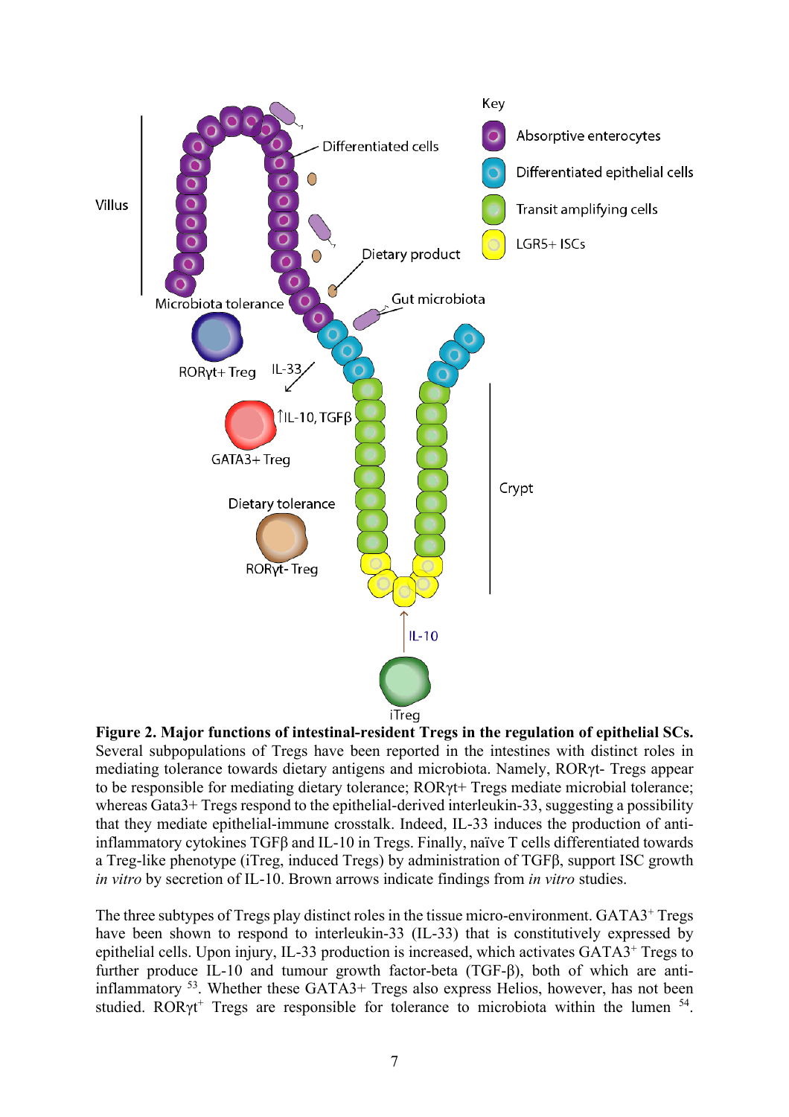

**Figure 2. Major functions of intestinal-resident Tregs in the regulation of epithelial SCs.**  Several subpopulations of Tregs have been reported in the intestines with distinct roles in mediating tolerance towards dietary antigens and microbiota. Namely, RORγt- Tregs appear to be responsible for mediating dietary tolerance; RORγt+ Tregs mediate microbial tolerance; whereas Gata3+ Tregs respond to the epithelial-derived interleukin-33, suggesting a possibility that they mediate epithelial-immune crosstalk. Indeed, IL-33 induces the production of antiinflammatory cytokines TGFβ and IL-10 in Tregs. Finally, naïve T cells differentiated towards a Treg-like phenotype (iTreg, induced Tregs) by administration of TGFβ, support ISC growth *in vitro* by secretion of IL-10. Brown arrows indicate findings from *in vitro* studies.

The three subtypes of Tregs play distinct roles in the tissue micro-environment. GATA3<sup>+</sup> Tregs have been shown to respond to interleukin-33 (IL-33) that is constitutively expressed by epithelial cells. Upon injury, IL-33 production is increased, which activates GATA3+ Tregs to further produce IL-10 and tumour growth factor-beta (TGF-β), both of which are antiinflammatory 53. Whether these GATA3+ Tregs also express Helios, however, has not been studied. ROR $\gamma t^+$  Tregs are responsible for tolerance to microbiota within the lumen <sup>54</sup>.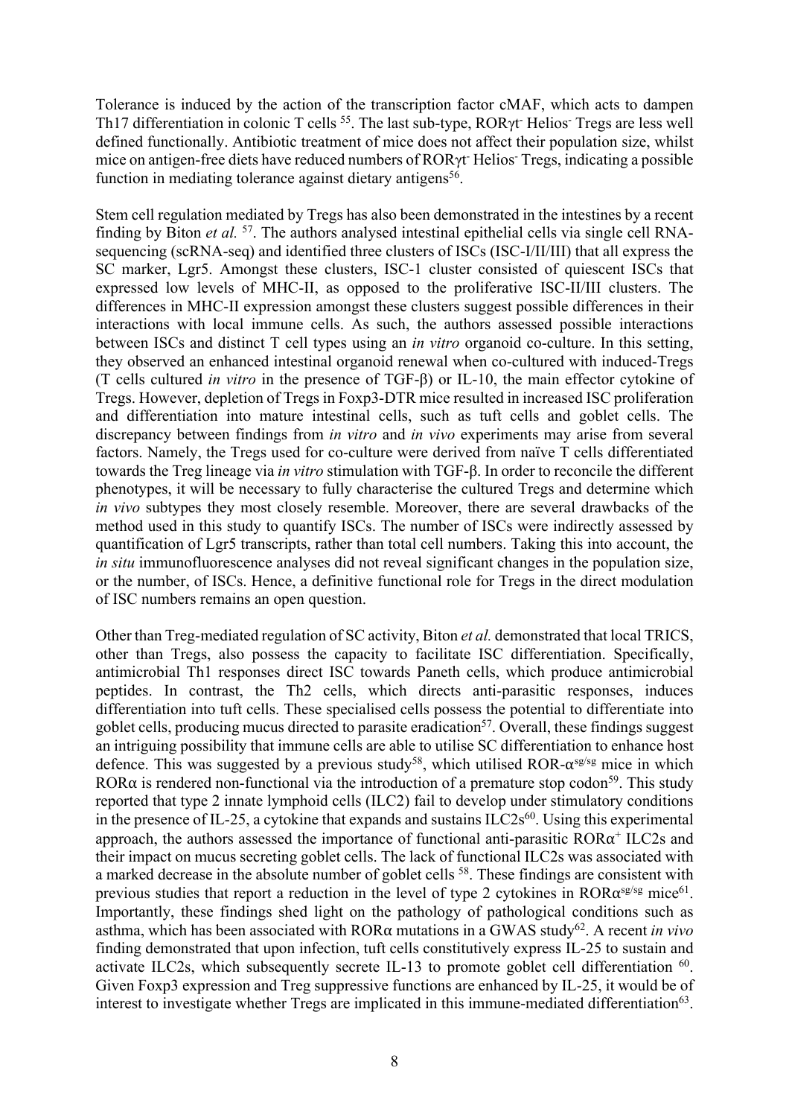Tolerance is induced by the action of the transcription factor cMAF, which acts to dampen Th17 differentiation in colonic T cells <sup>55</sup>. The last sub-type, RORγt- Helios<sup>-</sup> Tregs are less well defined functionally. Antibiotic treatment of mice does not affect their population size, whilst mice on antigen-free diets have reduced numbers of RORγt- Helios- Tregs, indicating a possible function in mediating tolerance against dietary antigens<sup>56</sup>.

Stem cell regulation mediated by Tregs has also been demonstrated in the intestines by a recent finding by Biton *et al.* 57. The authors analysed intestinal epithelial cells via single cell RNAsequencing (scRNA-seq) and identified three clusters of ISCs (ISC-I/II/III) that all express the SC marker, Lgr5. Amongst these clusters, ISC-1 cluster consisted of quiescent ISCs that expressed low levels of MHC-II, as opposed to the proliferative ISC-II/III clusters. The differences in MHC-II expression amongst these clusters suggest possible differences in their interactions with local immune cells. As such, the authors assessed possible interactions between ISCs and distinct T cell types using an *in vitro* organoid co-culture. In this setting, they observed an enhanced intestinal organoid renewal when co-cultured with induced-Tregs (T cells cultured *in vitro* in the presence of TGF-β) or IL-10, the main effector cytokine of Tregs. However, depletion of Tregs in Foxp3-DTR mice resulted in increased ISC proliferation and differentiation into mature intestinal cells, such as tuft cells and goblet cells. The discrepancy between findings from *in vitro* and *in vivo* experiments may arise from several factors. Namely, the Tregs used for co-culture were derived from naïve T cells differentiated towards the Treg lineage via *in vitro* stimulation with TGF-β. In order to reconcile the different phenotypes, it will be necessary to fully characterise the cultured Tregs and determine which *in vivo* subtypes they most closely resemble. Moreover, there are several drawbacks of the method used in this study to quantify ISCs. The number of ISCs were indirectly assessed by quantification of Lgr5 transcripts, rather than total cell numbers. Taking this into account, the *in situ* immunofluorescence analyses did not reveal significant changes in the population size, or the number, of ISCs. Hence, a definitive functional role for Tregs in the direct modulation of ISC numbers remains an open question.

Other than Treg-mediated regulation of SC activity, Biton *et al.* demonstrated that local TRICS, other than Tregs, also possess the capacity to facilitate ISC differentiation. Specifically, antimicrobial Th1 responses direct ISC towards Paneth cells, which produce antimicrobial peptides. In contrast, the Th2 cells, which directs anti-parasitic responses, induces differentiation into tuft cells. These specialised cells possess the potential to differentiate into goblet cells, producing mucus directed to parasite eradication<sup>57</sup>. Overall, these findings suggest an intriguing possibility that immune cells are able to utilise SC differentiation to enhance host defence. This was suggested by a previous study<sup>58</sup>, which utilised ROR- $\alpha^{sg/sg}$  mice in which ROR $\alpha$  is rendered non-functional via the introduction of a premature stop codon<sup>59</sup>. This study reported that type 2 innate lymphoid cells (ILC2) fail to develop under stimulatory conditions in the presence of IL-25, a cytokine that expands and sustains  $ILC2s<sup>60</sup>$ . Using this experimental approach, the authors assessed the importance of functional anti-parasitic  $RORa<sup>+</sup> ILC2s$  and their impact on mucus secreting goblet cells. The lack of functional ILC2s was associated with a marked decrease in the absolute number of goblet cells 58. These findings are consistent with previous studies that report a reduction in the level of type 2 cytokines in  $RORa^{sg/sg}$  mice<sup>61</sup>. Importantly, these findings shed light on the pathology of pathological conditions such as asthma, which has been associated with ROR⍺ mutations in a GWAS study62. A recent *in vivo* finding demonstrated that upon infection, tuft cells constitutively express IL-25 to sustain and activate ILC2s, which subsequently secrete IL-13 to promote goblet cell differentiation  $60$ . Given Foxp3 expression and Treg suppressive functions are enhanced by IL-25, it would be of interest to investigate whether Tregs are implicated in this immune-mediated differentiation<sup>63</sup>.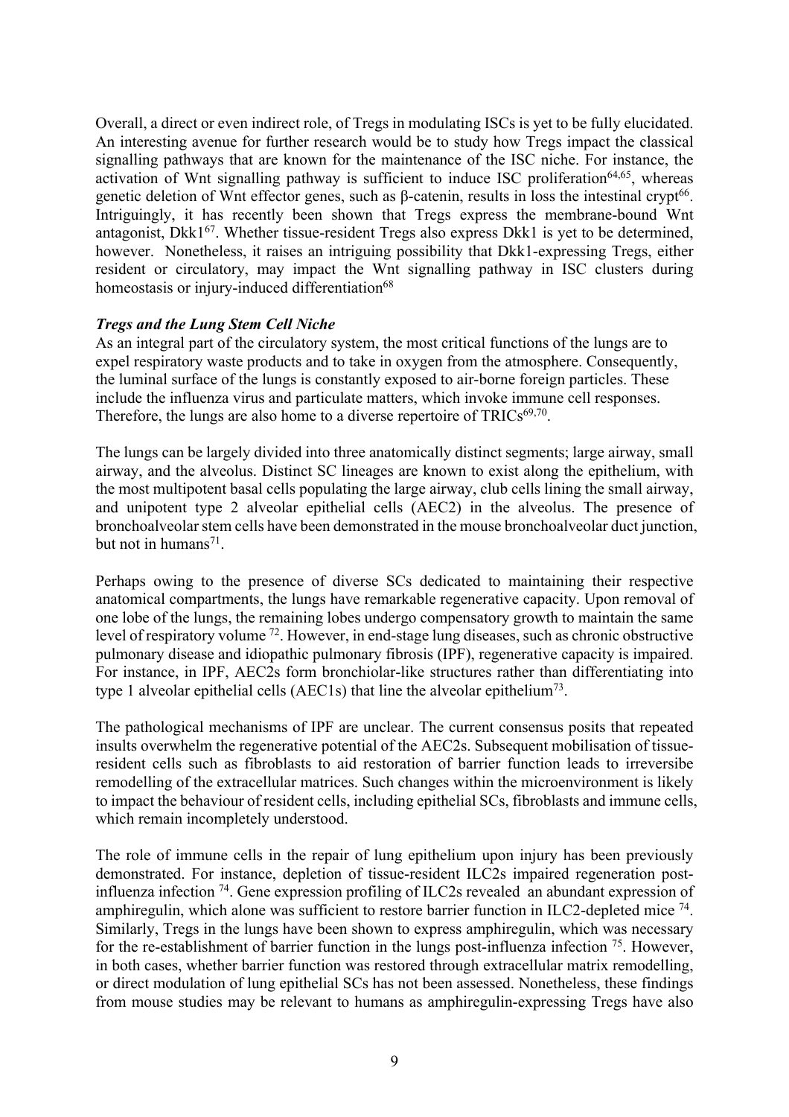Overall, a direct or even indirect role, of Tregs in modulating ISCs is yet to be fully elucidated. An interesting avenue for further research would be to study how Tregs impact the classical signalling pathways that are known for the maintenance of the ISC niche. For instance, the activation of Wnt signalling pathway is sufficient to induce ISC proliferation<sup>64,65</sup>, whereas genetic deletion of Wnt effector genes, such as  $\beta$ -catenin, results in loss the intestinal crypt<sup>66</sup>. Intriguingly, it has recently been shown that Tregs express the membrane-bound Wnt antagonist, Dkk167. Whether tissue-resident Tregs also express Dkk1 is yet to be determined, however. Nonetheless, it raises an intriguing possibility that Dkk1-expressing Tregs, either resident or circulatory, may impact the Wnt signalling pathway in ISC clusters during homeostasis or injury-induced differentiation<sup>68</sup>

### *Tregs and the Lung Stem Cell Niche*

As an integral part of the circulatory system, the most critical functions of the lungs are to expel respiratory waste products and to take in oxygen from the atmosphere. Consequently, the luminal surface of the lungs is constantly exposed to air-borne foreign particles. These include the influenza virus and particulate matters, which invoke immune cell responses. Therefore, the lungs are also home to a diverse repertoire of  $TRICs<sup>69,70</sup>$ .

The lungs can be largely divided into three anatomically distinct segments; large airway, small airway, and the alveolus. Distinct SC lineages are known to exist along the epithelium, with the most multipotent basal cells populating the large airway, club cells lining the small airway, and unipotent type 2 alveolar epithelial cells (AEC2) in the alveolus. The presence of bronchoalveolar stem cells have been demonstrated in the mouse bronchoalveolar duct junction, but not in humans<sup>71</sup>.

Perhaps owing to the presence of diverse SCs dedicated to maintaining their respective anatomical compartments, the lungs have remarkable regenerative capacity. Upon removal of one lobe of the lungs, the remaining lobes undergo compensatory growth to maintain the same level of respiratory volume 72. However, in end-stage lung diseases, such as chronic obstructive pulmonary disease and idiopathic pulmonary fibrosis (IPF), regenerative capacity is impaired. For instance, in IPF, AEC2s form bronchiolar-like structures rather than differentiating into type 1 alveolar epithelial cells (AEC1s) that line the alveolar epithelium73.

The pathological mechanisms of IPF are unclear. The current consensus posits that repeated insults overwhelm the regenerative potential of the AEC2s. Subsequent mobilisation of tissueresident cells such as fibroblasts to aid restoration of barrier function leads to irreversibe remodelling of the extracellular matrices. Such changes within the microenvironment is likely to impact the behaviour of resident cells, including epithelial SCs, fibroblasts and immune cells, which remain incompletely understood.

The role of immune cells in the repair of lung epithelium upon injury has been previously demonstrated. For instance, depletion of tissue-resident ILC2s impaired regeneration postinfluenza infection 74. Gene expression profiling of ILC2s revealed an abundant expression of amphiregulin, which alone was sufficient to restore barrier function in ILC2-depleted mice  $^{74}$ . Similarly, Tregs in the lungs have been shown to express amphiregulin, which was necessary for the re-establishment of barrier function in the lungs post-influenza infection <sup>75</sup>. However, in both cases, whether barrier function was restored through extracellular matrix remodelling, or direct modulation of lung epithelial SCs has not been assessed. Nonetheless, these findings from mouse studies may be relevant to humans as amphiregulin-expressing Tregs have also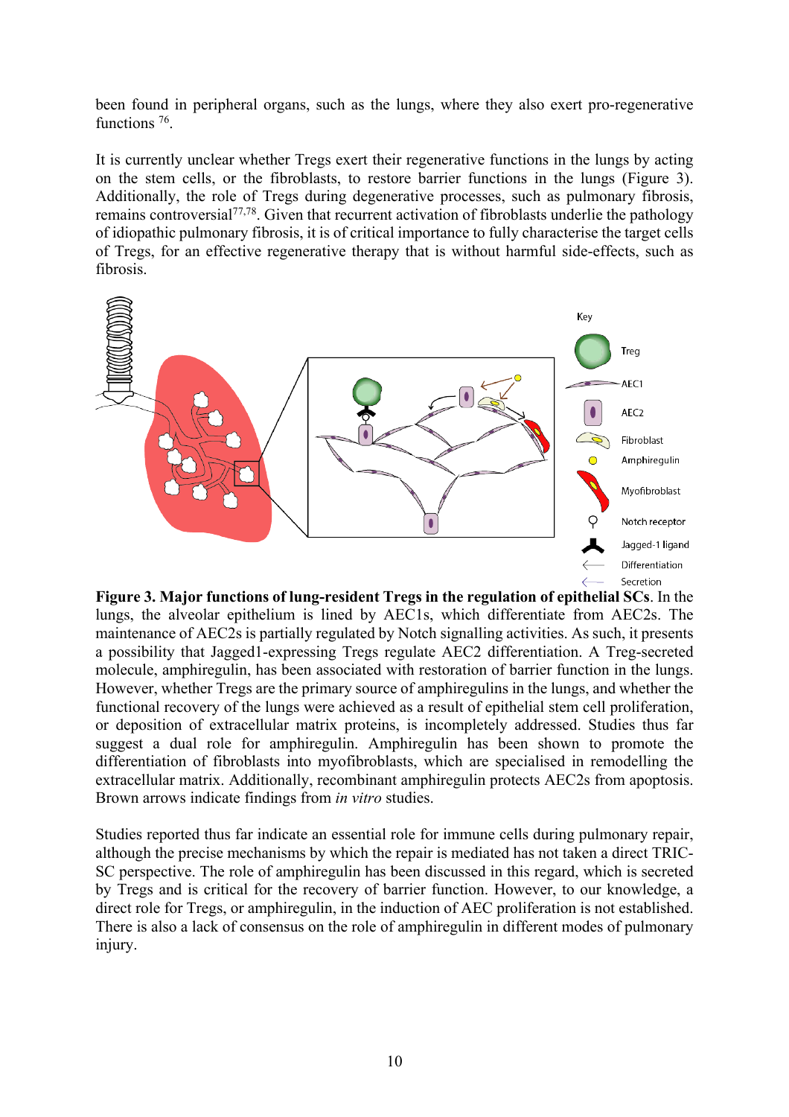been found in peripheral organs, such as the lungs, where they also exert pro-regenerative functions 76.

It is currently unclear whether Tregs exert their regenerative functions in the lungs by acting on the stem cells, or the fibroblasts, to restore barrier functions in the lungs (Figure 3). Additionally, the role of Tregs during degenerative processes, such as pulmonary fibrosis, remains controversial<sup> $77,78$ </sup>. Given that recurrent activation of fibroblasts underlie the pathology of idiopathic pulmonary fibrosis, it is of critical importance to fully characterise the target cells of Tregs, for an effective regenerative therapy that is without harmful side-effects, such as fibrosis.



**Figure 3. Major functions of lung-resident Tregs in the regulation of epithelial SCs**. In the lungs, the alveolar epithelium is lined by AEC1s, which differentiate from AEC2s. The maintenance of AEC2s is partially regulated by Notch signalling activities. As such, it presents a possibility that Jagged1-expressing Tregs regulate AEC2 differentiation. A Treg-secreted molecule, amphiregulin, has been associated with restoration of barrier function in the lungs. However, whether Tregs are the primary source of amphiregulins in the lungs, and whether the functional recovery of the lungs were achieved as a result of epithelial stem cell proliferation, or deposition of extracellular matrix proteins, is incompletely addressed. Studies thus far suggest a dual role for amphiregulin. Amphiregulin has been shown to promote the differentiation of fibroblasts into myofibroblasts, which are specialised in remodelling the extracellular matrix. Additionally, recombinant amphiregulin protects AEC2s from apoptosis. Brown arrows indicate findings from *in vitro* studies.

Studies reported thus far indicate an essential role for immune cells during pulmonary repair, although the precise mechanisms by which the repair is mediated has not taken a direct TRIC-SC perspective. The role of amphiregulin has been discussed in this regard, which is secreted by Tregs and is critical for the recovery of barrier function. However, to our knowledge, a direct role for Tregs, or amphiregulin, in the induction of AEC proliferation is not established. There is also a lack of consensus on the role of amphiregulin in different modes of pulmonary injury.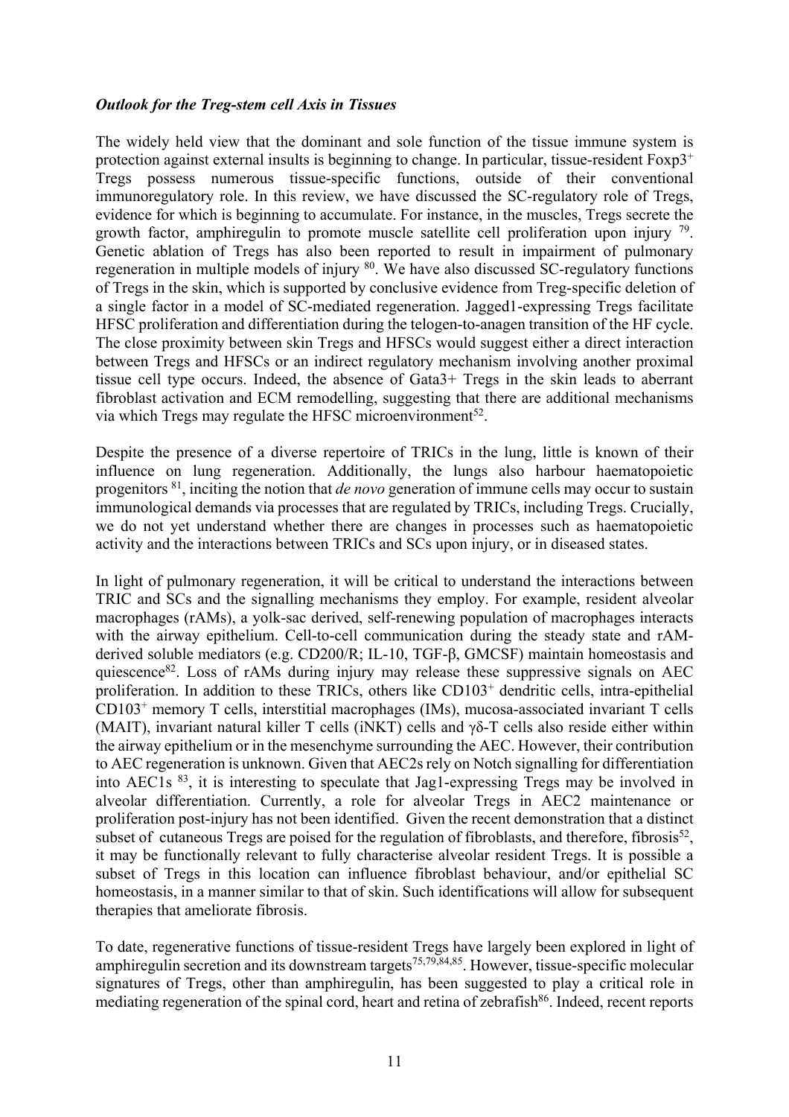#### *Outlook for the Treg-stem cell Axis in Tissues*

The widely held view that the dominant and sole function of the tissue immune system is protection against external insults is beginning to change. In particular, tissue-resident  $F\alpha p3^+$ Tregs possess numerous tissue-specific functions, outside of their conventional immunoregulatory role. In this review, we have discussed the SC-regulatory role of Tregs, evidence for which is beginning to accumulate. For instance, in the muscles, Tregs secrete the growth factor, amphiregulin to promote muscle satellite cell proliferation upon injury  $\frac{79}{2}$ . Genetic ablation of Tregs has also been reported to result in impairment of pulmonary regeneration in multiple models of injury 80. We have also discussed SC-regulatory functions of Tregs in the skin, which is supported by conclusive evidence from Treg-specific deletion of a single factor in a model of SC-mediated regeneration. Jagged1-expressing Tregs facilitate HFSC proliferation and differentiation during the telogen-to-anagen transition of the HF cycle. The close proximity between skin Tregs and HFSCs would suggest either a direct interaction between Tregs and HFSCs or an indirect regulatory mechanism involving another proximal tissue cell type occurs. Indeed, the absence of Gata3+ Tregs in the skin leads to aberrant fibroblast activation and ECM remodelling, suggesting that there are additional mechanisms via which Tregs may regulate the HFSC microenvironment<sup>52</sup>.

Despite the presence of a diverse repertoire of TRICs in the lung, little is known of their influence on lung regeneration. Additionally, the lungs also harbour haematopoietic progenitors 81, inciting the notion that *de novo* generation of immune cells may occur to sustain immunological demands via processes that are regulated by TRICs, including Tregs. Crucially, we do not yet understand whether there are changes in processes such as haematopoietic activity and the interactions between TRICs and SCs upon injury, or in diseased states.

In light of pulmonary regeneration, it will be critical to understand the interactions between TRIC and SCs and the signalling mechanisms they employ. For example, resident alveolar macrophages (rAMs), a yolk-sac derived, self-renewing population of macrophages interacts with the airway epithelium. Cell-to-cell communication during the steady state and rAMderived soluble mediators (e.g. CD200/R; IL-10, TGF-β, GMCSF) maintain homeostasis and quiescence<sup>82</sup>. Loss of rAMs during injury may release these suppressive signals on AEC proliferation. In addition to these TRICs, others like CD103<sup>+</sup> dendritic cells, intra-epithelial CD103+ memory T cells, interstitial macrophages (IMs), mucosa-associated invariant T cells (MAIT), invariant natural killer T cells (iNKT) cells and  $\gamma\delta$ -T cells also reside either within the airway epithelium or in the mesenchyme surrounding the AEC. However, their contribution to AEC regeneration is unknown. Given that AEC2s rely on Notch signalling for differentiation into AEC1s 83, it is interesting to speculate that Jag1-expressing Tregs may be involved in alveolar differentiation. Currently, a role for alveolar Tregs in AEC2 maintenance or proliferation post-injury has not been identified. Given the recent demonstration that a distinct subset of cutaneous Tregs are poised for the regulation of fibroblasts, and therefore, fibrosis<sup>52</sup>, it may be functionally relevant to fully characterise alveolar resident Tregs. It is possible a subset of Tregs in this location can influence fibroblast behaviour, and/or epithelial SC homeostasis, in a manner similar to that of skin. Such identifications will allow for subsequent therapies that ameliorate fibrosis.

To date, regenerative functions of tissue-resident Tregs have largely been explored in light of amphiregulin secretion and its downstream targets<sup>75,79,84,85</sup>. However, tissue-specific molecular signatures of Tregs, other than amphiregulin, has been suggested to play a critical role in mediating regeneration of the spinal cord, heart and retina of zebrafish<sup>86</sup>. Indeed, recent reports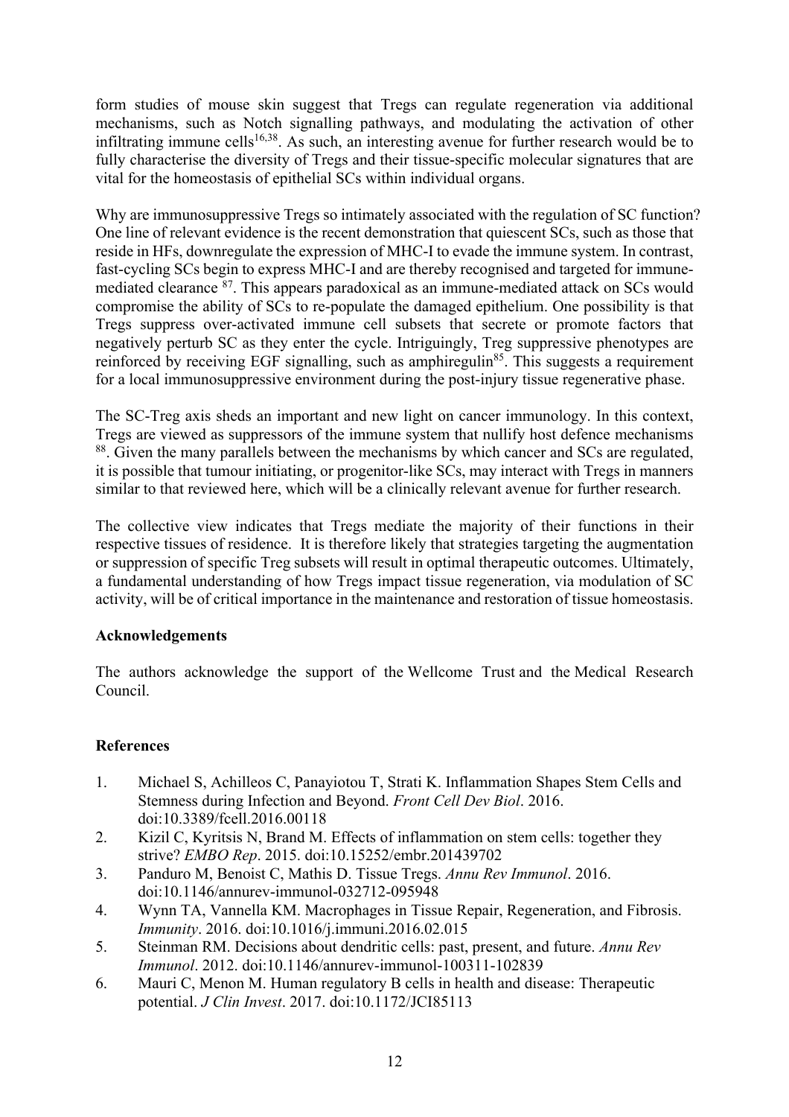form studies of mouse skin suggest that Tregs can regulate regeneration via additional mechanisms, such as Notch signalling pathways, and modulating the activation of other infiltrating immune cells<sup>16,38</sup>. As such, an interesting avenue for further research would be to fully characterise the diversity of Tregs and their tissue-specific molecular signatures that are vital for the homeostasis of epithelial SCs within individual organs.

Why are immunosuppressive Tregs so intimately associated with the regulation of SC function? One line of relevant evidence is the recent demonstration that quiescent SCs, such as those that reside in HFs, downregulate the expression of MHC-I to evade the immune system. In contrast, fast-cycling SCs begin to express MHC-I and are thereby recognised and targeted for immunemediated clearance 87. This appears paradoxical as an immune-mediated attack on SCs would compromise the ability of SCs to re-populate the damaged epithelium. One possibility is that Tregs suppress over-activated immune cell subsets that secrete or promote factors that negatively perturb SC as they enter the cycle. Intriguingly, Treg suppressive phenotypes are reinforced by receiving EGF signalling, such as amphiregulin<sup>85</sup>. This suggests a requirement for a local immunosuppressive environment during the post-injury tissue regenerative phase.

The SC-Treg axis sheds an important and new light on cancer immunology. In this context, Tregs are viewed as suppressors of the immune system that nullify host defence mechanisms <sup>88</sup>. Given the many parallels between the mechanisms by which cancer and SCs are regulated, it is possible that tumour initiating, or progenitor-like SCs, may interact with Tregs in manners similar to that reviewed here, which will be a clinically relevant avenue for further research.

The collective view indicates that Tregs mediate the majority of their functions in their respective tissues of residence. It is therefore likely that strategies targeting the augmentation or suppression of specific Treg subsets will result in optimal therapeutic outcomes. Ultimately, a fundamental understanding of how Tregs impact tissue regeneration, via modulation of SC activity, will be of critical importance in the maintenance and restoration of tissue homeostasis.

## **Acknowledgements**

The authors acknowledge the support of the Wellcome Trust and the Medical Research Council.

# **References**

- 1. Michael S, Achilleos C, Panayiotou T, Strati K. Inflammation Shapes Stem Cells and Stemness during Infection and Beyond. *Front Cell Dev Biol*. 2016. doi:10.3389/fcell.2016.00118
- 2. Kizil C, Kyritsis N, Brand M. Effects of inflammation on stem cells: together they strive? *EMBO Rep*. 2015. doi:10.15252/embr.201439702
- 3. Panduro M, Benoist C, Mathis D. Tissue Tregs. *Annu Rev Immunol*. 2016. doi:10.1146/annurev-immunol-032712-095948
- 4. Wynn TA, Vannella KM. Macrophages in Tissue Repair, Regeneration, and Fibrosis. *Immunity*. 2016. doi:10.1016/j.immuni.2016.02.015
- 5. Steinman RM. Decisions about dendritic cells: past, present, and future. *Annu Rev Immunol*. 2012. doi:10.1146/annurev-immunol-100311-102839
- 6. Mauri C, Menon M. Human regulatory B cells in health and disease: Therapeutic potential. *J Clin Invest*. 2017. doi:10.1172/JCI85113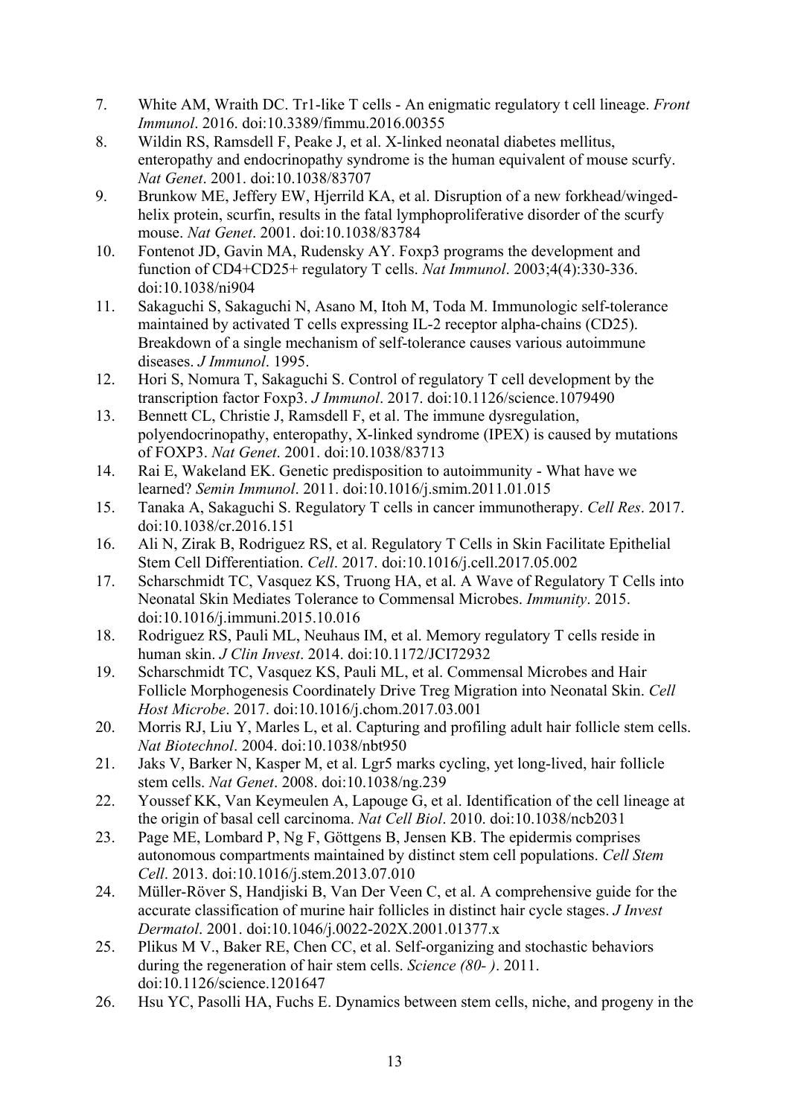- 7. White AM, Wraith DC. Tr1-like T cells An enigmatic regulatory t cell lineage. *Front Immunol*. 2016. doi:10.3389/fimmu.2016.00355
- 8. Wildin RS, Ramsdell F, Peake J, et al. X-linked neonatal diabetes mellitus, enteropathy and endocrinopathy syndrome is the human equivalent of mouse scurfy. *Nat Genet*. 2001. doi:10.1038/83707
- 9. Brunkow ME, Jeffery EW, Hjerrild KA, et al. Disruption of a new forkhead/wingedhelix protein, scurfin, results in the fatal lymphoproliferative disorder of the scurfy mouse. *Nat Genet*. 2001. doi:10.1038/83784
- 10. Fontenot JD, Gavin MA, Rudensky AY. Foxp3 programs the development and function of CD4+CD25+ regulatory T cells. *Nat Immunol*. 2003;4(4):330-336. doi:10.1038/ni904
- 11. Sakaguchi S, Sakaguchi N, Asano M, Itoh M, Toda M. Immunologic self-tolerance maintained by activated T cells expressing IL-2 receptor alpha-chains (CD25). Breakdown of a single mechanism of self-tolerance causes various autoimmune diseases. *J Immunol*. 1995.
- 12. Hori S, Nomura T, Sakaguchi S. Control of regulatory T cell development by the transcription factor Foxp3. *J Immunol*. 2017. doi:10.1126/science.1079490
- 13. Bennett CL, Christie J, Ramsdell F, et al. The immune dysregulation, polyendocrinopathy, enteropathy, X-linked syndrome (IPEX) is caused by mutations of FOXP3. *Nat Genet*. 2001. doi:10.1038/83713
- 14. Rai E, Wakeland EK. Genetic predisposition to autoimmunity What have we learned? *Semin Immunol*. 2011. doi:10.1016/j.smim.2011.01.015
- 15. Tanaka A, Sakaguchi S. Regulatory T cells in cancer immunotherapy. *Cell Res*. 2017. doi:10.1038/cr.2016.151
- 16. Ali N, Zirak B, Rodriguez RS, et al. Regulatory T Cells in Skin Facilitate Epithelial Stem Cell Differentiation. *Cell*. 2017. doi:10.1016/j.cell.2017.05.002
- 17. Scharschmidt TC, Vasquez KS, Truong HA, et al. A Wave of Regulatory T Cells into Neonatal Skin Mediates Tolerance to Commensal Microbes. *Immunity*. 2015. doi:10.1016/j.immuni.2015.10.016
- 18. Rodriguez RS, Pauli ML, Neuhaus IM, et al. Memory regulatory T cells reside in human skin. *J Clin Invest*. 2014. doi:10.1172/JCI72932
- 19. Scharschmidt TC, Vasquez KS, Pauli ML, et al. Commensal Microbes and Hair Follicle Morphogenesis Coordinately Drive Treg Migration into Neonatal Skin. *Cell Host Microbe*. 2017. doi:10.1016/j.chom.2017.03.001
- 20. Morris RJ, Liu Y, Marles L, et al. Capturing and profiling adult hair follicle stem cells. *Nat Biotechnol*. 2004. doi:10.1038/nbt950
- 21. Jaks V, Barker N, Kasper M, et al. Lgr5 marks cycling, yet long-lived, hair follicle stem cells. *Nat Genet*. 2008. doi:10.1038/ng.239
- 22. Youssef KK, Van Keymeulen A, Lapouge G, et al. Identification of the cell lineage at the origin of basal cell carcinoma. *Nat Cell Biol*. 2010. doi:10.1038/ncb2031
- 23. Page ME, Lombard P, Ng F, Göttgens B, Jensen KB. The epidermis comprises autonomous compartments maintained by distinct stem cell populations. *Cell Stem Cell*. 2013. doi:10.1016/j.stem.2013.07.010
- 24. Müller-Röver S, Handjiski B, Van Der Veen C, et al. A comprehensive guide for the accurate classification of murine hair follicles in distinct hair cycle stages. *J Invest Dermatol*. 2001. doi:10.1046/j.0022-202X.2001.01377.x
- 25. Plikus M V., Baker RE, Chen CC, et al. Self-organizing and stochastic behaviors during the regeneration of hair stem cells. *Science (80- )*. 2011. doi:10.1126/science.1201647
- 26. Hsu YC, Pasolli HA, Fuchs E. Dynamics between stem cells, niche, and progeny in the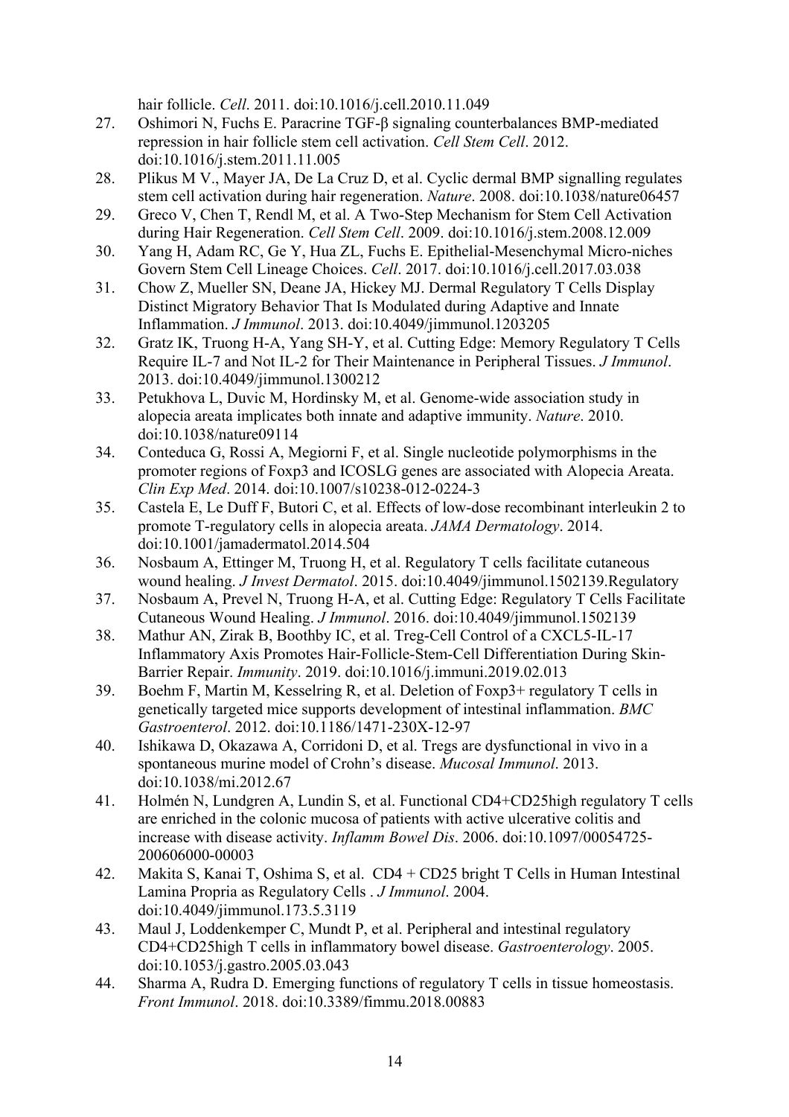hair follicle. *Cell*. 2011. doi:10.1016/j.cell.2010.11.049

- 27. Oshimori N, Fuchs E. Paracrine TGF-β signaling counterbalances BMP-mediated repression in hair follicle stem cell activation. *Cell Stem Cell*. 2012. doi:10.1016/j.stem.2011.11.005
- 28. Plikus M V., Mayer JA, De La Cruz D, et al. Cyclic dermal BMP signalling regulates stem cell activation during hair regeneration. *Nature*. 2008. doi:10.1038/nature06457
- 29. Greco V, Chen T, Rendl M, et al. A Two-Step Mechanism for Stem Cell Activation during Hair Regeneration. *Cell Stem Cell*. 2009. doi:10.1016/j.stem.2008.12.009
- 30. Yang H, Adam RC, Ge Y, Hua ZL, Fuchs E. Epithelial-Mesenchymal Micro-niches Govern Stem Cell Lineage Choices. *Cell*. 2017. doi:10.1016/j.cell.2017.03.038
- 31. Chow Z, Mueller SN, Deane JA, Hickey MJ. Dermal Regulatory T Cells Display Distinct Migratory Behavior That Is Modulated during Adaptive and Innate Inflammation. *J Immunol*. 2013. doi:10.4049/jimmunol.1203205
- 32. Gratz IK, Truong H-A, Yang SH-Y, et al. Cutting Edge: Memory Regulatory T Cells Require IL-7 and Not IL-2 for Their Maintenance in Peripheral Tissues. *J Immunol*. 2013. doi:10.4049/jimmunol.1300212
- 33. Petukhova L, Duvic M, Hordinsky M, et al. Genome-wide association study in alopecia areata implicates both innate and adaptive immunity. *Nature*. 2010. doi:10.1038/nature09114
- 34. Conteduca G, Rossi A, Megiorni F, et al. Single nucleotide polymorphisms in the promoter regions of Foxp3 and ICOSLG genes are associated with Alopecia Areata. *Clin Exp Med*. 2014. doi:10.1007/s10238-012-0224-3
- 35. Castela E, Le Duff F, Butori C, et al. Effects of low-dose recombinant interleukin 2 to promote T-regulatory cells in alopecia areata. *JAMA Dermatology*. 2014. doi:10.1001/jamadermatol.2014.504
- 36. Nosbaum A, Ettinger M, Truong H, et al. Regulatory T cells facilitate cutaneous wound healing. *J Invest Dermatol*. 2015. doi:10.4049/jimmunol.1502139.Regulatory
- 37. Nosbaum A, Prevel N, Truong H-A, et al. Cutting Edge: Regulatory T Cells Facilitate Cutaneous Wound Healing. *J Immunol*. 2016. doi:10.4049/jimmunol.1502139
- 38. Mathur AN, Zirak B, Boothby IC, et al. Treg-Cell Control of a CXCL5-IL-17 Inflammatory Axis Promotes Hair-Follicle-Stem-Cell Differentiation During Skin-Barrier Repair. *Immunity*. 2019. doi:10.1016/j.immuni.2019.02.013
- 39. Boehm F, Martin M, Kesselring R, et al. Deletion of Foxp3+ regulatory T cells in genetically targeted mice supports development of intestinal inflammation. *BMC Gastroenterol*. 2012. doi:10.1186/1471-230X-12-97
- 40. Ishikawa D, Okazawa A, Corridoni D, et al. Tregs are dysfunctional in vivo in a spontaneous murine model of Crohn's disease. *Mucosal Immunol*. 2013. doi:10.1038/mi.2012.67
- 41. Holmén N, Lundgren A, Lundin S, et al. Functional CD4+CD25high regulatory T cells are enriched in the colonic mucosa of patients with active ulcerative colitis and increase with disease activity. *Inflamm Bowel Dis*. 2006. doi:10.1097/00054725- 200606000-00003
- 42. Makita S, Kanai T, Oshima S, et al. CD4 + CD25 bright T Cells in Human Intestinal Lamina Propria as Regulatory Cells . *J Immunol*. 2004. doi:10.4049/jimmunol.173.5.3119
- 43. Maul J, Loddenkemper C, Mundt P, et al. Peripheral and intestinal regulatory CD4+CD25high T cells in inflammatory bowel disease. *Gastroenterology*. 2005. doi:10.1053/j.gastro.2005.03.043
- 44. Sharma A, Rudra D. Emerging functions of regulatory T cells in tissue homeostasis. *Front Immunol*. 2018. doi:10.3389/fimmu.2018.00883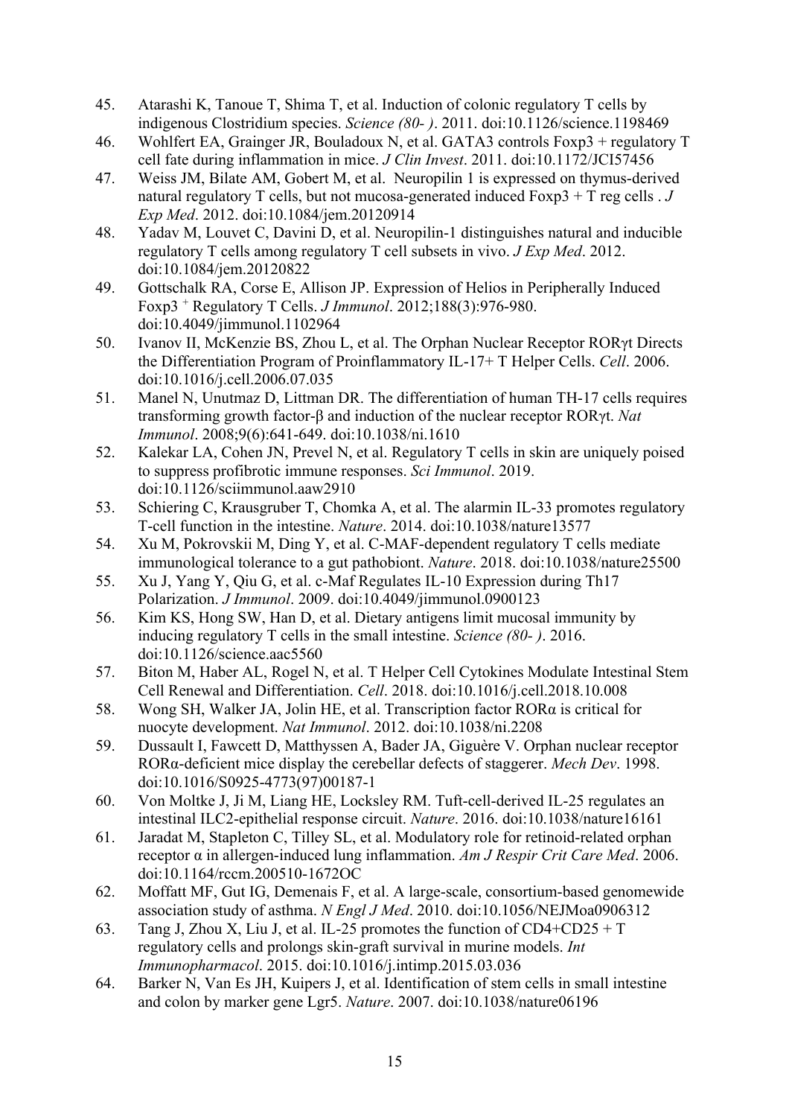- 45. Atarashi K, Tanoue T, Shima T, et al. Induction of colonic regulatory T cells by indigenous Clostridium species. *Science (80- )*. 2011. doi:10.1126/science.1198469
- 46. Wohlfert EA, Grainger JR, Bouladoux N, et al. GATA3 controls Foxp3 + regulatory T cell fate during inflammation in mice. *J Clin Invest*. 2011. doi:10.1172/JCI57456
- 47. Weiss JM, Bilate AM, Gobert M, et al. Neuropilin 1 is expressed on thymus-derived natural regulatory T cells, but not mucosa-generated induced Foxp3 + T reg cells . *J Exp Med*. 2012. doi:10.1084/jem.20120914
- 48. Yadav M, Louvet C, Davini D, et al. Neuropilin-1 distinguishes natural and inducible regulatory T cells among regulatory T cell subsets in vivo. *J Exp Med*. 2012. doi:10.1084/jem.20120822
- 49. Gottschalk RA, Corse E, Allison JP. Expression of Helios in Peripherally Induced Foxp3 + Regulatory T Cells. *J Immunol*. 2012;188(3):976-980. doi:10.4049/jimmunol.1102964
- 50. Ivanov II, McKenzie BS, Zhou L, et al. The Orphan Nuclear Receptor RORγt Directs the Differentiation Program of Proinflammatory IL-17+ T Helper Cells. *Cell*. 2006. doi:10.1016/j.cell.2006.07.035
- 51. Manel N, Unutmaz D, Littman DR. The differentiation of human TH-17 cells requires transforming growth factor-β and induction of the nuclear receptor RORγt. *Nat Immunol*. 2008;9(6):641-649. doi:10.1038/ni.1610
- 52. Kalekar LA, Cohen JN, Prevel N, et al. Regulatory T cells in skin are uniquely poised to suppress profibrotic immune responses. *Sci Immunol*. 2019. doi:10.1126/sciimmunol.aaw2910
- 53. Schiering C, Krausgruber T, Chomka A, et al. The alarmin IL-33 promotes regulatory T-cell function in the intestine. *Nature*. 2014. doi:10.1038/nature13577
- 54. Xu M, Pokrovskii M, Ding Y, et al. C-MAF-dependent regulatory T cells mediate immunological tolerance to a gut pathobiont. *Nature*. 2018. doi:10.1038/nature25500
- 55. Xu J, Yang Y, Qiu G, et al. c-Maf Regulates IL-10 Expression during Th17 Polarization. *J Immunol*. 2009. doi:10.4049/jimmunol.0900123
- 56. Kim KS, Hong SW, Han D, et al. Dietary antigens limit mucosal immunity by inducing regulatory T cells in the small intestine. *Science (80- )*. 2016. doi:10.1126/science.aac5560
- 57. Biton M, Haber AL, Rogel N, et al. T Helper Cell Cytokines Modulate Intestinal Stem Cell Renewal and Differentiation. *Cell*. 2018. doi:10.1016/j.cell.2018.10.008
- 58. Wong SH, Walker JA, Jolin HE, et al. Transcription factor RORα is critical for nuocyte development. *Nat Immunol*. 2012. doi:10.1038/ni.2208
- 59. Dussault I, Fawcett D, Matthyssen A, Bader JA, Giguère V. Orphan nuclear receptor RORα-deficient mice display the cerebellar defects of staggerer. *Mech Dev*. 1998. doi:10.1016/S0925-4773(97)00187-1
- 60. Von Moltke J, Ji M, Liang HE, Locksley RM. Tuft-cell-derived IL-25 regulates an intestinal ILC2-epithelial response circuit. *Nature*. 2016. doi:10.1038/nature16161
- 61. Jaradat M, Stapleton C, Tilley SL, et al. Modulatory role for retinoid-related orphan receptor α in allergen-induced lung inflammation. *Am J Respir Crit Care Med*. 2006. doi:10.1164/rccm.200510-1672OC
- 62. Moffatt MF, Gut IG, Demenais F, et al. A large-scale, consortium-based genomewide association study of asthma. *N Engl J Med*. 2010. doi:10.1056/NEJMoa0906312
- 63. Tang J, Zhou X, Liu J, et al. IL-25 promotes the function of  $CD4+CD25+T$ regulatory cells and prolongs skin-graft survival in murine models. *Int Immunopharmacol*. 2015. doi:10.1016/j.intimp.2015.03.036
- 64. Barker N, Van Es JH, Kuipers J, et al. Identification of stem cells in small intestine and colon by marker gene Lgr5. *Nature*. 2007. doi:10.1038/nature06196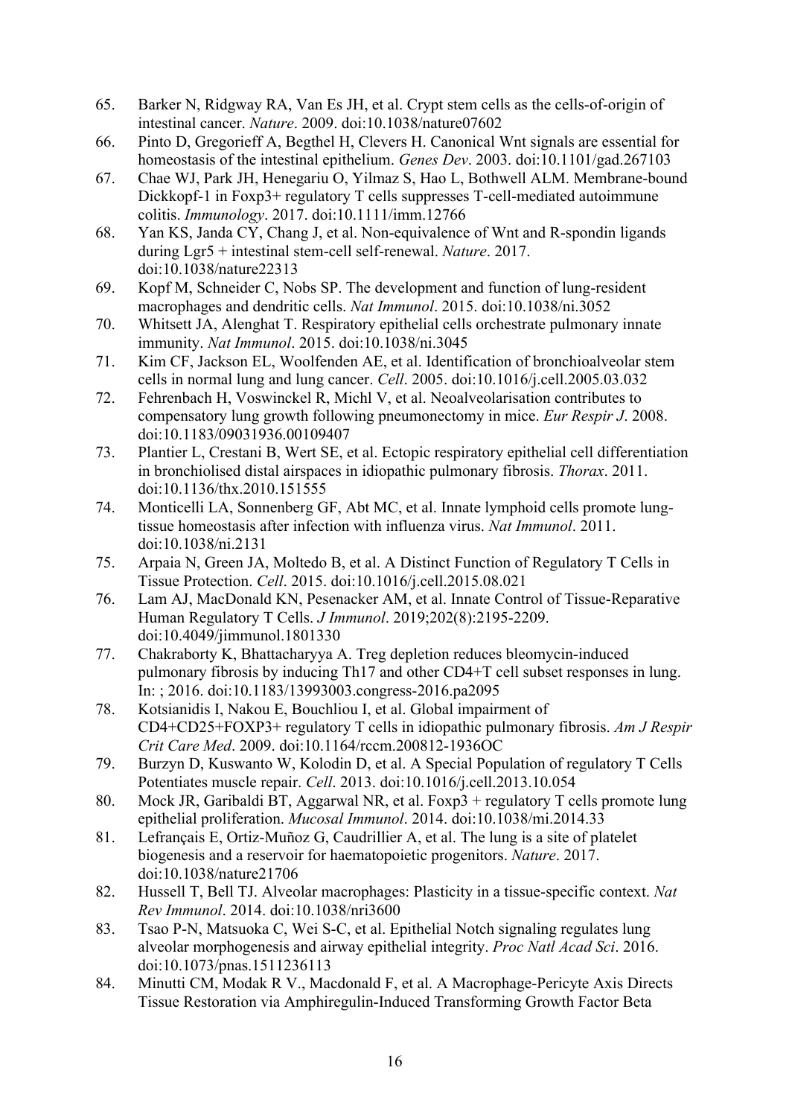- 65. Barker N, Ridgway RA, Van Es JH, et al. Crypt stem cells as the cells-of-origin of intestinal cancer. *Nature*. 2009. doi:10.1038/nature07602
- 66. Pinto D, Gregorieff A, Begthel H, Clevers H. Canonical Wnt signals are essential for homeostasis of the intestinal epithelium. *Genes Dev*. 2003. doi:10.1101/gad.267103
- 67. Chae WJ, Park JH, Henegariu O, Yilmaz S, Hao L, Bothwell ALM. Membrane-bound Dickkopf-1 in Foxp3+ regulatory T cells suppresses T-cell-mediated autoimmune colitis. *Immunology*. 2017. doi:10.1111/imm.12766
- 68. Yan KS, Janda CY, Chang J, et al. Non-equivalence of Wnt and R-spondin ligands during Lgr5 + intestinal stem-cell self-renewal. *Nature*. 2017. doi:10.1038/nature22313
- 69. Kopf M, Schneider C, Nobs SP. The development and function of lung-resident macrophages and dendritic cells. *Nat Immunol*. 2015. doi:10.1038/ni.3052
- 70. Whitsett JA, Alenghat T. Respiratory epithelial cells orchestrate pulmonary innate immunity. *Nat Immunol*. 2015. doi:10.1038/ni.3045
- 71. Kim CF, Jackson EL, Woolfenden AE, et al. Identification of bronchioalveolar stem cells in normal lung and lung cancer. *Cell*. 2005. doi:10.1016/j.cell.2005.03.032
- 72. Fehrenbach H, Voswinckel R, Michl V, et al. Neoalveolarisation contributes to compensatory lung growth following pneumonectomy in mice. *Eur Respir J*. 2008. doi:10.1183/09031936.00109407
- 73. Plantier L, Crestani B, Wert SE, et al. Ectopic respiratory epithelial cell differentiation in bronchiolised distal airspaces in idiopathic pulmonary fibrosis. *Thorax*. 2011. doi:10.1136/thx.2010.151555
- 74. Monticelli LA, Sonnenberg GF, Abt MC, et al. Innate lymphoid cells promote lungtissue homeostasis after infection with influenza virus. *Nat Immunol*. 2011. doi:10.1038/ni.2131
- 75. Arpaia N, Green JA, Moltedo B, et al. A Distinct Function of Regulatory T Cells in Tissue Protection. *Cell*. 2015. doi:10.1016/j.cell.2015.08.021
- 76. Lam AJ, MacDonald KN, Pesenacker AM, et al. Innate Control of Tissue-Reparative Human Regulatory T Cells. *J Immunol*. 2019;202(8):2195-2209. doi:10.4049/jimmunol.1801330
- 77. Chakraborty K, Bhattacharyya A. Treg depletion reduces bleomycin-induced pulmonary fibrosis by inducing Th17 and other CD4+T cell subset responses in lung. In: ; 2016. doi:10.1183/13993003.congress-2016.pa2095
- 78. Kotsianidis I, Nakou E, Bouchliou I, et al. Global impairment of CD4+CD25+FOXP3+ regulatory T cells in idiopathic pulmonary fibrosis. *Am J Respir Crit Care Med*. 2009. doi:10.1164/rccm.200812-1936OC
- 79. Burzyn D, Kuswanto W, Kolodin D, et al. A Special Population of regulatory T Cells Potentiates muscle repair. *Cell*. 2013. doi:10.1016/j.cell.2013.10.054
- 80. Mock JR, Garibaldi BT, Aggarwal NR, et al. Foxp3 + regulatory T cells promote lung epithelial proliferation. *Mucosal Immunol*. 2014. doi:10.1038/mi.2014.33
- 81. Lefrançais E, Ortiz-Muñoz G, Caudrillier A, et al. The lung is a site of platelet biogenesis and a reservoir for haematopoietic progenitors. *Nature*. 2017. doi:10.1038/nature21706
- 82. Hussell T, Bell TJ. Alveolar macrophages: Plasticity in a tissue-specific context. *Nat Rev Immunol*. 2014. doi:10.1038/nri3600
- 83. Tsao P-N, Matsuoka C, Wei S-C, et al. Epithelial Notch signaling regulates lung alveolar morphogenesis and airway epithelial integrity. *Proc Natl Acad Sci*. 2016. doi:10.1073/pnas.1511236113
- 84. Minutti CM, Modak R V., Macdonald F, et al. A Macrophage-Pericyte Axis Directs Tissue Restoration via Amphiregulin-Induced Transforming Growth Factor Beta